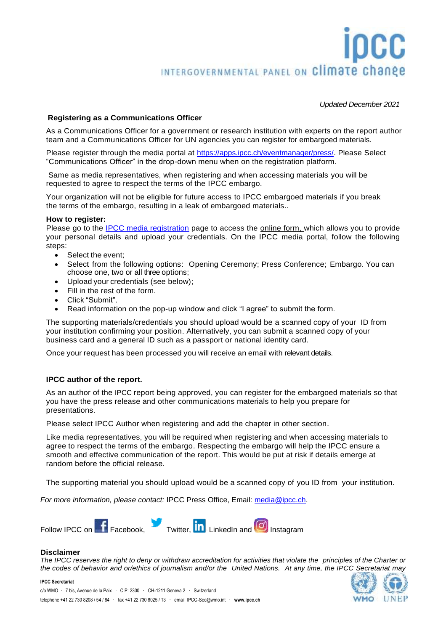# INTERGOVERNMENTAL PANEL ON Climate change

*Updated December 2021*

# **Registering as a Communications Officer**

As a Communications Officer for a government or research institution with experts on the report author team and a Communications Officer for UN agencies you can register for embargoed materials.

Please register through the media portal at [https://apps.ipcc.ch/eventmanager/press/.](https://apps.ipcc.ch/eventmanager/press/) Please Select "Communications Officer" in the drop-down menu when on the registration platform.

Same as media representatives, when registering and when accessing materials you will be requested to agree to respect the terms of the IPCC embargo.

Your organization will not be eligible for future access to IPCC embargoed materials if you break the terms of the embargo, resulting in a leak of embargoed materials..

## **How to register:**

Please go to the [IPCC media registration](https://apps.ipcc.ch/eventmanager/press/register.php) page to access the online form, which allows you to provide your personal details and upload your credentials. On the IPCC media portal, follow the following steps:

- Select the event;
- Select from the following options: Opening Ceremony; Press Conference; Embargo. You can choose one, two or all three options;
- Upload your credentials (see below);
- Fill in the rest of the form.
- Click "Submit".
- Read information on the pop-up window and click "I agree" to submit the form.

The supporting materials/credentials you should upload would be a scanned copy of your ID from your institution confirming your position. Alternatively, you can submit a scanned copy of your business card and a general ID such as a passport or national identity card.

Once your request has been processed you will receive an email with relevant details.

## **IPCC author of the report.**

As an author of the IPCC report being approved, you can register for the embargoed materials so that you have the press release and other communications materials to help you prepare for presentations.

Please select IPCC Author when registering and add the chapter in other section.

Like media representatives, you will be required when registering and when accessing materials to agree to respect the terms of the embargo. Respecting the embargo will help the IPCC ensure a smooth and effective communication of the report. This would be put at risk if details emerge at random before the official release.

The supporting material you should upload would be a scanned copy of you ID from your institution.

*For more information, please contact:* IPCC Press Office, Email: [media@ipcc.ch.](mailto:media@ipcc.ch)



### **Disclaimer**

**IPCC Secretariat**

The IPCC reserves the right to deny or withdraw accreditation for activities that violate the principles of the Charter or the codes of behavior and or/ethics of journalism and/or the United Nations. At any time, the IPCC Secretariat may